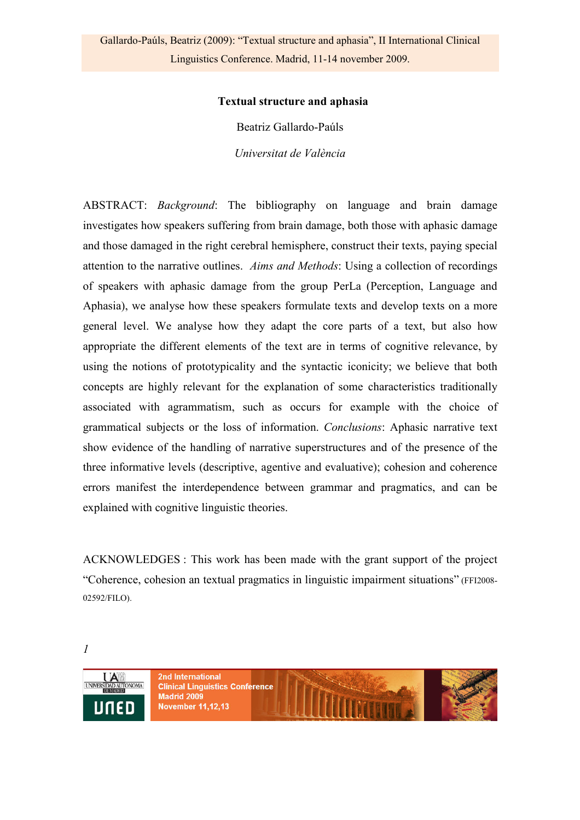#### **Textual structure and aphasia**

Beatriz Gallardo-Paúls *Universitat de València* 

ABSTRACT: *Background*: The bibliography on language and brain damage investigates how speakers suffering from brain damage, both those with aphasic damage and those damaged in the right cerebral hemisphere, construct their texts, paying special attention to the narrative outlines. *Aims and Methods*: Using a collection of recordings of speakers with aphasic damage from the group PerLa (Perception, Language and Aphasia), we analyse how these speakers formulate texts and develop texts on a more general level. We analyse how they adapt the core parts of a text, but also how appropriate the different elements of the text are in terms of cognitive relevance, by using the notions of prototypicality and the syntactic iconicity; we believe that both concepts are highly relevant for the explanation of some characteristics traditionally associated with agrammatism, such as occurs for example with the choice of grammatical subjects or the loss of information. *Conclusions*: Aphasic narrative text show evidence of the handling of narrative superstructures and of the presence of the three informative levels (descriptive, agentive and evaluative); cohesion and coherence errors manifest the interdependence between grammar and pragmatics, and can be explained with cognitive linguistic theories.

ACKNOWLEDGES : This work has been made with the grant support of the project "Coherence, cohesion an textual pragmatics in linguistic impairment situations" (FFI2008- 02592/FILO).

*1* 

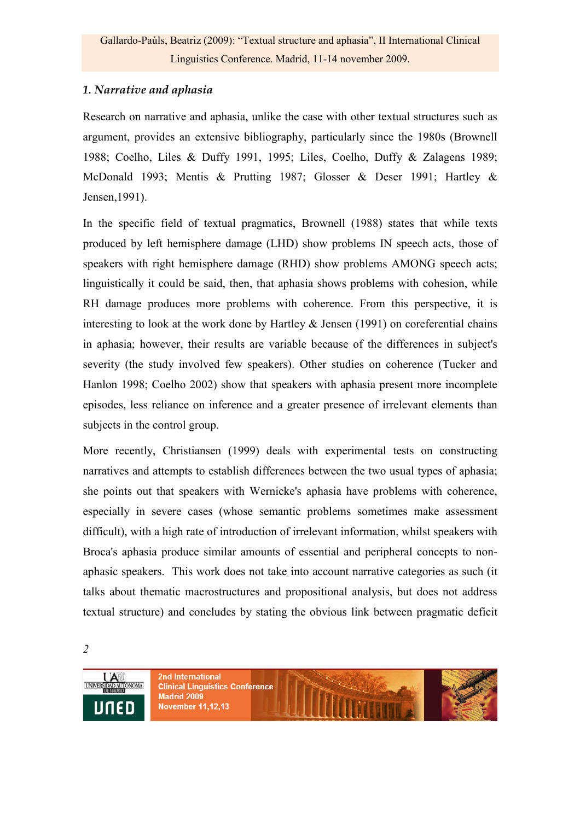## *1. Narrative and aphasia*

Research on narrative and aphasia, unlike the case with other textual structures such as argument, provides an extensive bibliography, particularly since the 1980s (Brownell 1988; Coelho, Liles & Duffy 1991, 1995; Liles, Coelho, Duffy & Zalagens 1989; McDonald 1993; Mentis & Prutting 1987; Glosser & Deser 1991; Hartley & Jensen,1991).

In the specific field of textual pragmatics, Brownell (1988) states that while texts produced by left hemisphere damage (LHD) show problems IN speech acts, those of speakers with right hemisphere damage (RHD) show problems AMONG speech acts; linguistically it could be said, then, that aphasia shows problems with cohesion, while RH damage produces more problems with coherence. From this perspective, it is interesting to look at the work done by Hartley  $\&$  Jensen (1991) on coreferential chains in aphasia; however, their results are variable because of the differences in subject's severity (the study involved few speakers). Other studies on coherence (Tucker and Hanlon 1998; Coelho 2002) show that speakers with aphasia present more incomplete episodes, less reliance on inference and a greater presence of irrelevant elements than subjects in the control group.

More recently, Christiansen (1999) deals with experimental tests on constructing narratives and attempts to establish differences between the two usual types of aphasia; she points out that speakers with Wernicke's aphasia have problems with coherence, especially in severe cases (whose semantic problems sometimes make assessment difficult), with a high rate of introduction of irrelevant information, whilst speakers with Broca's aphasia produce similar amounts of essential and peripheral concepts to nonaphasic speakers. This work does not take into account narrative categories as such (it talks about thematic macrostructures and propositional analysis, but does not address textual structure) and concludes by stating the obvious link between pragmatic deficit

*2* 

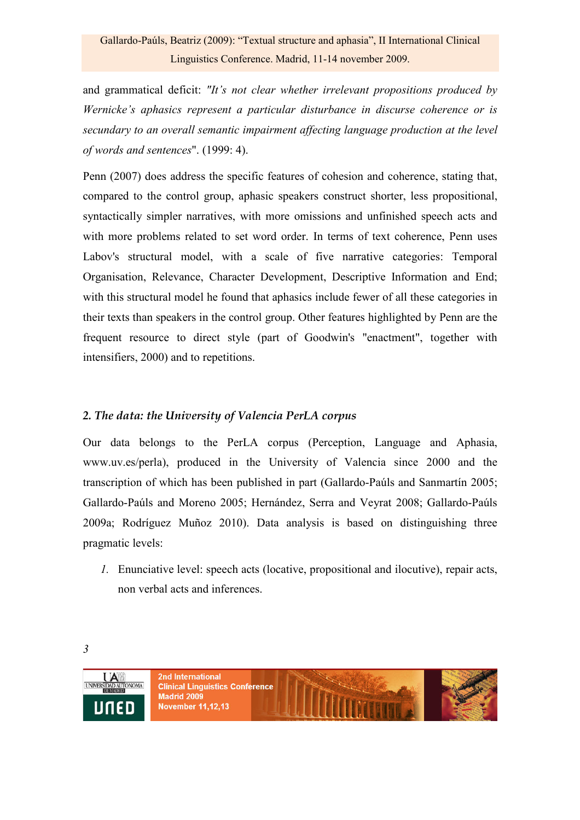## Gallardo-Paúls, Beatriz (2009): "Textual structure and aphasia", II International Clinical Linguistics Conference. Madrid, 11-14 november 2009.

and grammatical deficit: *"It's not clear whether irrelevant propositions produced by Wernicke's aphasics represent a particular disturbance in discurse coherence or is secundary to an overall semantic impairment affecting language production at the level of words and sentences*". (1999: 4).

Penn (2007) does address the specific features of cohesion and coherence, stating that, compared to the control group, aphasic speakers construct shorter, less propositional, syntactically simpler narratives, with more omissions and unfinished speech acts and with more problems related to set word order. In terms of text coherence, Penn uses Labov's structural model, with a scale of five narrative categories: Temporal Organisation, Relevance, Character Development, Descriptive Information and End; with this structural model he found that aphasics include fewer of all these categories in their texts than speakers in the control group. Other features highlighted by Penn are the frequent resource to direct style (part of Goodwin's "enactment", together with intensifiers, 2000) and to repetitions.

## *2. The data: the University of Valencia PerLA corpus*

Our data belongs to the PerLA corpus (Perception, Language and Aphasia, www.uv.es/perla), produced in the University of Valencia since 2000 and the transcription of which has been published in part (Gallardo-Paúls and Sanmartín 2005; Gallardo-Paúls and Moreno 2005; Hernández, Serra and Veyrat 2008; Gallardo-Paúls 2009a; Rodríguez Muñoz 2010). Data analysis is based on distinguishing three pragmatic levels:

*1.* Enunciative level: speech acts (locative, propositional and ilocutive), repair acts, non verbal acts and inferences.

*3* 

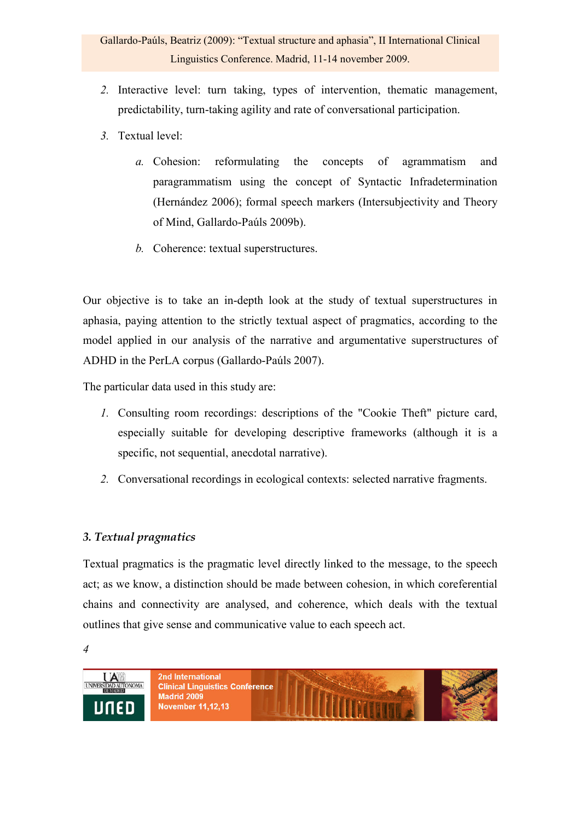- *2.* Interactive level: turn taking, types of intervention, thematic management, predictability, turn-taking agility and rate of conversational participation.
- *3.* Textual level:
	- *a.* Cohesion: reformulating the concepts of agrammatism and paragrammatism using the concept of Syntactic Infradetermination (Hernández 2006); formal speech markers (Intersubjectivity and Theory of Mind, Gallardo-Paúls 2009b).
	- *b.* Coherence: textual superstructures.

Our objective is to take an in-depth look at the study of textual superstructures in aphasia, paying attention to the strictly textual aspect of pragmatics, according to the model applied in our analysis of the narrative and argumentative superstructures of ADHD in the PerLA corpus (Gallardo-Paúls 2007).

The particular data used in this study are:

- *1.* Consulting room recordings: descriptions of the "Cookie Theft" picture card, especially suitable for developing descriptive frameworks (although it is a specific, not sequential, anecdotal narrative).
- *2.* Conversational recordings in ecological contexts: selected narrative fragments.

## *3. Textual pragmatics*

Textual pragmatics is the pragmatic level directly linked to the message, to the speech act; as we know, a distinction should be made between cohesion, in which coreferential chains and connectivity are analysed, and coherence, which deals with the textual outlines that give sense and communicative value to each speech act.

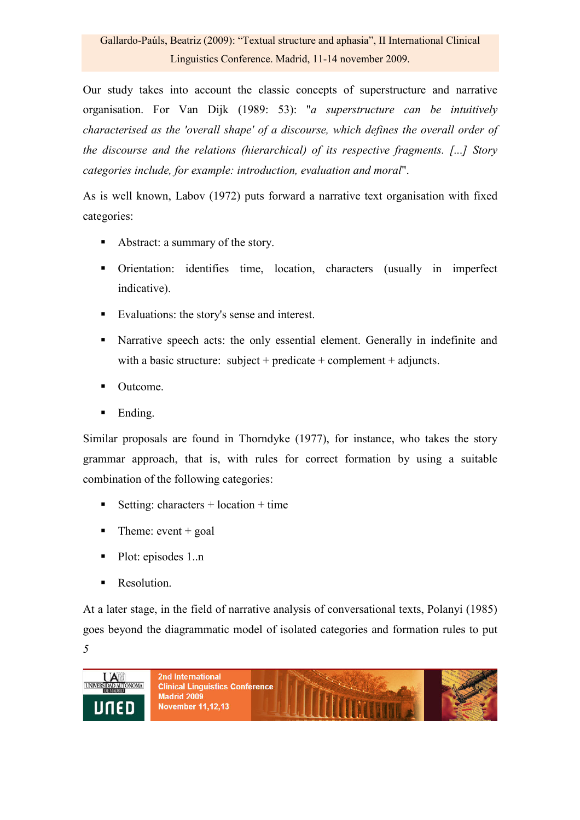Our study takes into account the classic concepts of superstructure and narrative organisation. For Van Dijk (1989: 53): "*a superstructure can be intuitively characterised as the 'overall shape' of a discourse, which defines the overall order of the discourse and the relations (hierarchical) of its respective fragments. [...] Story categories include, for example: introduction, evaluation and moral*".

As is well known, Labov (1972) puts forward a narrative text organisation with fixed categories:

- Abstract: a summary of the story.
- Orientation: identifies time, location, characters (usually in imperfect indicative).
- Evaluations: the story's sense and interest.
- Narrative speech acts: the only essential element. Generally in indefinite and with a basic structure: subject + predicate + complement + adjuncts.
- Outcome.
- Ending.

Similar proposals are found in Thorndyke (1977), for instance, who takes the story grammar approach, that is, with rules for correct formation by using a suitable combination of the following categories:

- Setting: characters  $+$  location  $+$  time
- $\blacksquare$  Theme: event + goal
- Plot: episodes 1..n
- Resolution.

*5*  At a later stage, in the field of narrative analysis of conversational texts, Polanyi (1985) goes beyond the diagrammatic model of isolated categories and formation rules to put

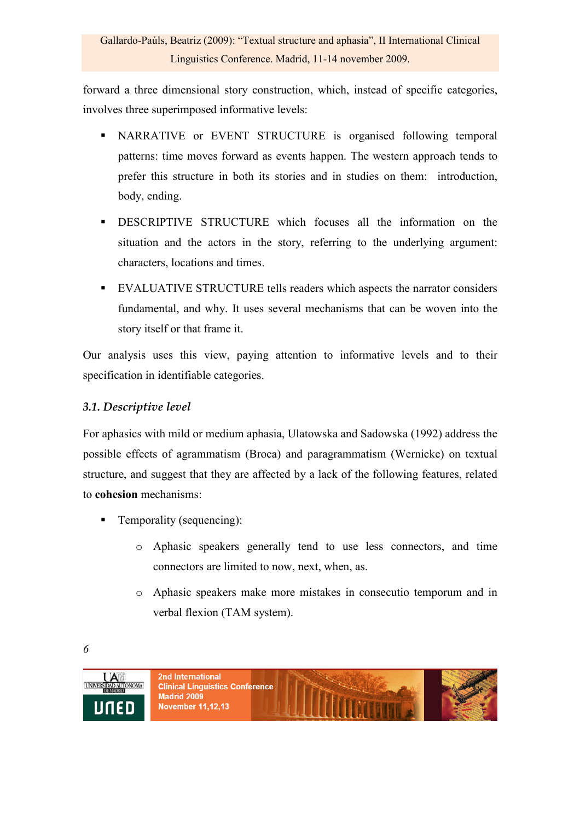forward a three dimensional story construction, which, instead of specific categories, involves three superimposed informative levels:

- NARRATIVE or EVENT STRUCTURE is organised following temporal patterns: time moves forward as events happen. The western approach tends to prefer this structure in both its stories and in studies on them: introduction, body, ending.
- DESCRIPTIVE STRUCTURE which focuses all the information on the situation and the actors in the story, referring to the underlying argument: characters, locations and times.
- EVALUATIVE STRUCTURE tells readers which aspects the narrator considers fundamental, and why. It uses several mechanisms that can be woven into the story itself or that frame it.

Our analysis uses this view, paying attention to informative levels and to their specification in identifiable categories.

## *3.1. Descriptive level*

For aphasics with mild or medium aphasia, Ulatowska and Sadowska (1992) address the possible effects of agrammatism (Broca) and paragrammatism (Wernicke) on textual structure, and suggest that they are affected by a lack of the following features, related to **cohesion** mechanisms:

- Temporality (sequencing):
	- o Aphasic speakers generally tend to use less connectors, and time connectors are limited to now, next, when, as.
	- o Aphasic speakers make more mistakes in consecutio temporum and in verbal flexion (TAM system).

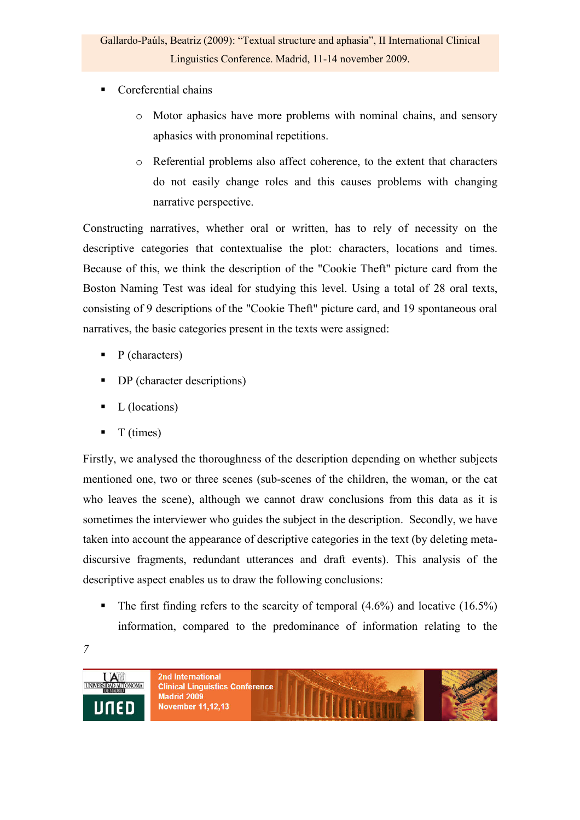- Coreferential chains
	- o Motor aphasics have more problems with nominal chains, and sensory aphasics with pronominal repetitions.
	- o Referential problems also affect coherence, to the extent that characters do not easily change roles and this causes problems with changing narrative perspective.

Constructing narratives, whether oral or written, has to rely of necessity on the descriptive categories that contextualise the plot: characters, locations and times. Because of this, we think the description of the "Cookie Theft" picture card from the Boston Naming Test was ideal for studying this level. Using a total of 28 oral texts, consisting of 9 descriptions of the "Cookie Theft" picture card, and 19 spontaneous oral narratives, the basic categories present in the texts were assigned:

- $\blacksquare$  P (characters)
- DP (character descriptions)
- $\blacksquare$  L (locations)
- $\blacksquare$  T (times)

Firstly, we analysed the thoroughness of the description depending on whether subjects mentioned one, two or three scenes (sub-scenes of the children, the woman, or the cat who leaves the scene), although we cannot draw conclusions from this data as it is sometimes the interviewer who guides the subject in the description. Secondly, we have taken into account the appearance of descriptive categories in the text (by deleting metadiscursive fragments, redundant utterances and draft events). This analysis of the descriptive aspect enables us to draw the following conclusions:

- The first finding refers to the scarcity of temporal  $(4.6\%)$  and locative  $(16.5\%)$ information, compared to the predominance of information relating to the
- *7*

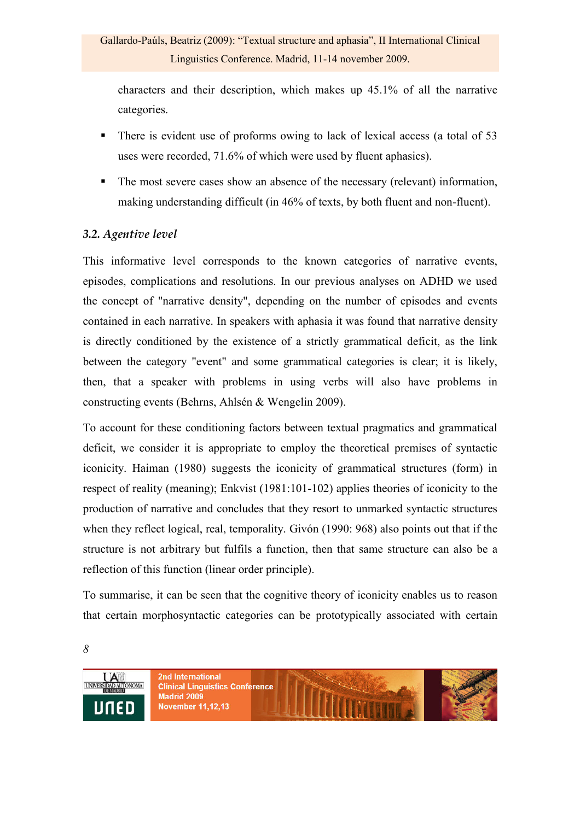characters and their description, which makes up 45.1% of all the narrative categories.

- There is evident use of proforms owing to lack of lexical access (a total of 53 uses were recorded, 71.6% of which were used by fluent aphasics).
- The most severe cases show an absence of the necessary (relevant) information, making understanding difficult (in 46% of texts, by both fluent and non-fluent).

## *3.2. Agentive level*

This informative level corresponds to the known categories of narrative events, episodes, complications and resolutions. In our previous analyses on ADHD we used the concept of "narrative density", depending on the number of episodes and events contained in each narrative. In speakers with aphasia it was found that narrative density is directly conditioned by the existence of a strictly grammatical deficit, as the link between the category "event" and some grammatical categories is clear; it is likely, then, that a speaker with problems in using verbs will also have problems in constructing events (Behrns, Ahlsén & Wengelin 2009).

To account for these conditioning factors between textual pragmatics and grammatical deficit, we consider it is appropriate to employ the theoretical premises of syntactic iconicity. Haiman (1980) suggests the iconicity of grammatical structures (form) in respect of reality (meaning); Enkvist (1981:101-102) applies theories of iconicity to the production of narrative and concludes that they resort to unmarked syntactic structures when they reflect logical, real, temporality. Givón (1990: 968) also points out that if the structure is not arbitrary but fulfils a function, then that same structure can also be a reflection of this function (linear order principle).

To summarise, it can be seen that the cognitive theory of iconicity enables us to reason that certain morphosyntactic categories can be prototypically associated with certain

*8* 

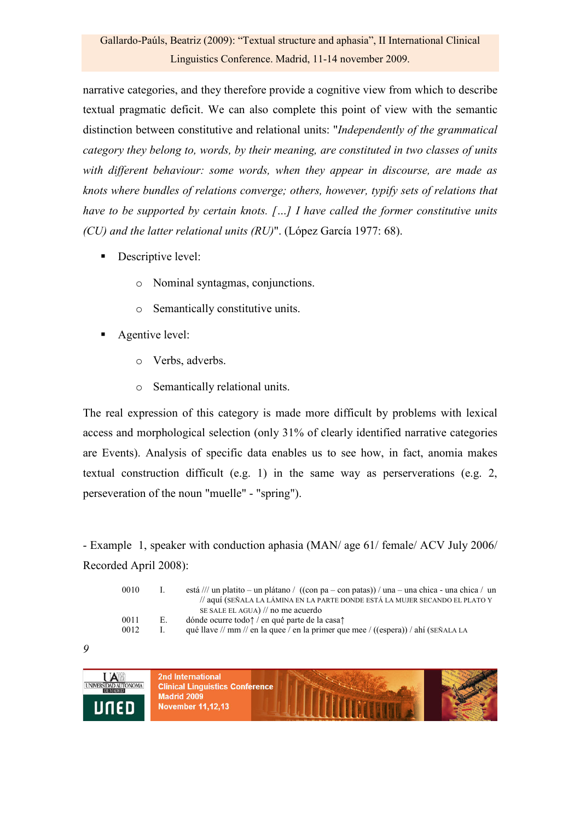narrative categories, and they therefore provide a cognitive view from which to describe textual pragmatic deficit. We can also complete this point of view with the semantic distinction between constitutive and relational units: "*Independently of the grammatical category they belong to, words, by their meaning, are constituted in two classes of units with different behaviour: some words, when they appear in discourse, are made as knots where bundles of relations converge; others, however, typify sets of relations that have to be supported by certain knots. […] I have called the former constitutive units (CU) and the latter relational units (RU)*". (López García 1977: 68).

- **Descriptive level:** 
	- o Nominal syntagmas, conjunctions.
	- o Semantically constitutive units.
- Agentive level:
	- o Verbs, adverbs.
	- o Semantically relational units.

The real expression of this category is made more difficult by problems with lexical access and morphological selection (only 31% of clearly identified narrative categories are Events). Analysis of specific data enables us to see how, in fact, anomia makes textual construction difficult (e.g. 1) in the same way as perserverations (e.g. 2, perseveration of the noun "muelle" - "spring").

- Example 1, speaker with conduction aphasia (MAN/ age 61/ female/ ACV July 2006/ Recorded April 2008):

| 0010 |    | está /// un platito – un plátano / ((con pa – con patas)) / una – una chica - una chica / un |
|------|----|----------------------------------------------------------------------------------------------|
|      |    | // aquí (SEÑALA LA LÁMINA EN LA PARTE DONDE ESTÁ LA MUJER SECANDO EL PLATO Y                 |
|      |    | SE SALE EL AGUA) $\frac{1}{\pi}$ no me acuerdo                                               |
| 0011 | Е. | dónde ocurre todo? / en qué parte de la casa?                                                |
| 0012 |    | qué llave // mm // en la quee / en la primer que mee / ((espera)) / ahí ( $SENALA LA$        |
|      |    |                                                                                              |

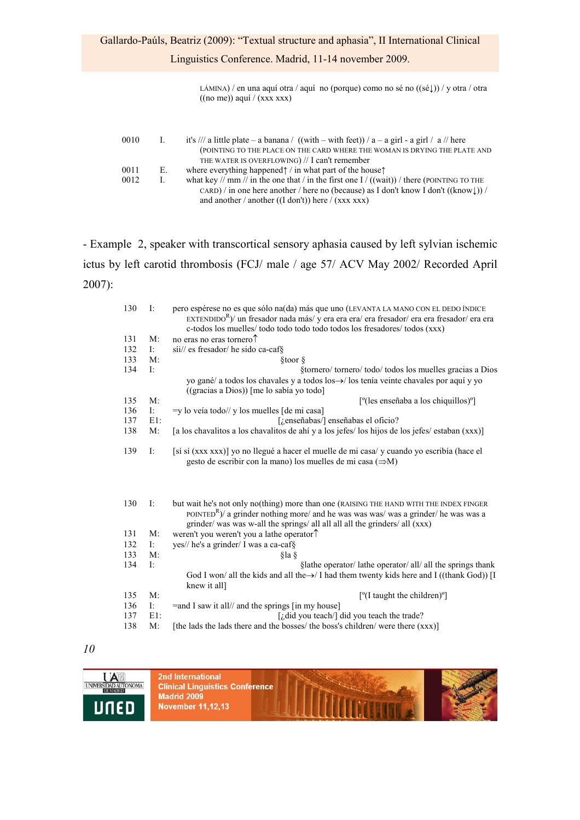Linguistics Conference. Madrid, 11-14 november 2009.

LÁMINA) / en una aquí otra / aquí no (porque) como no sé no ((sé↓)) / y otra / otra  $((no me))$  aquí /  $(xxx xxx)$ 

| 0010 | $\mathbf{L}$ | it's /// a little plate – a banana / ((with – with feet)) / a – a girl - a girl / a // here            |
|------|--------------|--------------------------------------------------------------------------------------------------------|
|      |              | (POINTING TO THE PLACE ON THE CARD WHERE THE WOMAN IS DRYING THE PLATE AND                             |
|      |              | THE WATER IS OVERFLOWING) $//$ I can't remember                                                        |
| 0011 | Е.           | where everything happened $\uparrow$ / in what part of the house $\uparrow$                            |
| 0012 | L            | what key // mm // in the one that / in the first one I / ((wait)) / there (POINTING TO THE             |
|      |              | CARD) / in one here another / here no (because) as I don't know I don't $((\text{know} \downarrow))$ / |
|      |              | and another / another ( $(I don't)$ ) here / $(xxx xx)$                                                |

- Example 2, speaker with transcortical sensory aphasia caused by left sylvian ischemic ictus by left carotid thrombosis (FCJ/ male / age 57/ ACV May 2002/ Recorded April 2007):

| 130 | I:     | pero espérese no es que sólo na(da) más que uno (LEVANTA LA MANO CON EL DEDO ÍNDICE                  |
|-----|--------|------------------------------------------------------------------------------------------------------|
|     |        | $\exp(\text{exp}(X))$ un fresador nada más/ y era era era/ era fresador/ era era fresador/ era era   |
|     |        | c-todos los muelles/ todo todo todo todo todos los fresadores/ todos (xxx)                           |
| 131 | M:     | no eras no eras tornero <sup>1</sup>                                                                 |
| 132 | Ŀ.     | sii// es fresador/ he sido ca-caf§                                                                   |
| 133 | M:     | §toor §                                                                                              |
| 134 | I:     | §tornero/ tornero/ todo/ todos los muelles gracias a Dios                                            |
|     |        | yo gané/ a todos los chavales y a todos los $\rightarrow$ / los tenía veinte chavales por aquí y yo  |
|     |        | $((gracias a Dios))$ [me lo sabía yo todo]                                                           |
| 135 | M:     | $[°$ (les enseñaba a los chiquillos) $°$ ]                                                           |
| 136 | Ŀ.     | $=y$ lo veía todo// y los muelles [de mi casa]                                                       |
| 137 | $E1$ : | [i enseñabas/] enseñabas el oficio?                                                                  |
| 138 | M:     | [a los chavalitos a los chavalitos de ahí y a los jefes/los hijos de los jefes/estaban (xxx)]        |
|     |        |                                                                                                      |
| 139 | I:     | [si si (xxx xxx)] yo no llegué a hacer el muelle de mi casa/y cuando yo escribía (hace el            |
|     |        | gesto de escribir con la mano) los muelles de mi casa $(\Rightarrow M)$                              |
|     |        |                                                                                                      |
|     |        |                                                                                                      |
|     |        |                                                                                                      |
|     |        |                                                                                                      |
| 130 | I:     | but wait he's not only no(thing) more than one (RAISING THE HAND WITH THE INDEX FINGER               |
|     |        | POINTED <sup>R</sup> )/ a grinder nothing more/ and he was was was/ was a grinder/ he was was a      |
|     |        | grinder/ was was w-all the springs/ all all all all the grinders/ all (xxx)                          |
| 131 | M:     | weren't you weren't you a lathe operator <sup><math>\uparrow</math></sup>                            |
| 132 | I:     | yes// he's a grinder/ I was a ca-caf§                                                                |
| 133 | M:     | §la §                                                                                                |
| 134 | I:     | Slathe operator/ lathe operator/ all/ all the springs thank                                          |
|     |        | God I won/ all the kids and all the $\rightarrow$ I had them twenty kids here and I ((thank God)) II |
|     |        | knew it all]                                                                                         |
| 135 | M:     | [°(I taught the children)°]                                                                          |
| 136 | I:     | $=$ and I saw it all// and the springs $\lceil$ in my house $\rceil$                                 |
| 137 | $E1$ : | $\int$ <i>i</i> , did you teach/ $\int$ did you teach the trade?                                     |
| 138 | M:     | [the lads the lads there and the bosses/ the boss's children/ were there (xxx)]                      |

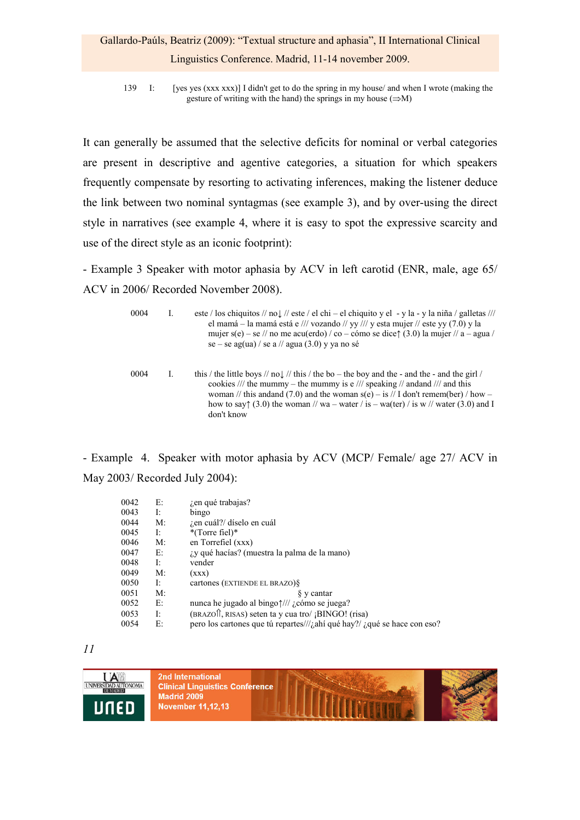# Gallardo-Paúls, Beatriz (2009): "Textual structure and aphasia", II International Clinical Linguistics Conference. Madrid, 11-14 november 2009.

139 I: [yes yes (xxx xxx)] I didn't get to do the spring in my house/ and when I wrote (making the gesture of writing with the hand) the springs in my house  $(\Rightarrow M)$ 

It can generally be assumed that the selective deficits for nominal or verbal categories are present in descriptive and agentive categories, a situation for which speakers frequently compensate by resorting to activating inferences, making the listener deduce the link between two nominal syntagmas (see example 3), and by over-using the direct style in narratives (see example 4, where it is easy to spot the expressive scarcity and use of the direct style as an iconic footprint):

- Example 3 Speaker with motor aphasia by ACV in left carotid (ENR, male, age 65/ ACV in 2006/ Recorded November 2008).

| 0004 | este / los chiquitos // no $\downarrow$ // este / el chi – el chiquito y el - y la - y la niña / galletas ///<br>el mamá – la mamá está e /// vozando // yy /// y esta mujer // este yy $(7.0)$ y la<br>mujer $s(e)$ – se // no me acu(erdo) / co – cómo se dice $\uparrow$ (3.0) la mujer // a – agua /<br>se – se ag(ua) / se a // agua (3.0) y ya no sé |
|------|------------------------------------------------------------------------------------------------------------------------------------------------------------------------------------------------------------------------------------------------------------------------------------------------------------------------------------------------------------|
| 0004 | this / the little boys // no $\downarrow$ // this / the bo – the boy and the - and the - and the girl /<br>cookies /// the mummy – the mummy is e /// speaking // and and /// and this<br>woman // this and and (7.0) and the woman $s(e) - is$ // I don't remem(ber) / how –                                                                              |

how to say $\uparrow$  (3.0) the woman // wa – water / is – wa(ter) / is w // water (3.0) and I

- Example 4. Speaker with motor aphasia by ACV (MCP/ Female/ age 27/ ACV in May 2003/ Recorded July 2004):

don't know

| 0042 | E:          | <i>i</i> en qué trabajas?                                                                 |
|------|-------------|-------------------------------------------------------------------------------------------|
| 0043 | Ŀ           | bingo                                                                                     |
| 0044 | $M^{\cdot}$ | <i>i</i> en cuál?/ díselo en cuál                                                         |
| 0045 | Ŀ           | $*(Torre file)$                                                                           |
| 0046 | $M$ :       | en Torrefiel (xxx)                                                                        |
| 0047 | E:          | <i>i</i> y qué hacías? (muestra la palma de la mano)                                      |
| 0048 | Ŀ           | vender                                                                                    |
| 0049 | $M^{\cdot}$ | (xxx)                                                                                     |
| 0050 | Ŀ           | cartones (EXTIENDE EL BRAZO) $\$                                                          |
| 0051 | M:          | § y cantar                                                                                |
| 0052 | E:          | nunca he jugado al bingo $\frac{1}{1}$ <i>i</i> cómo se juega?                            |
| 0053 | Ŀ           | (BRAZOI), RISAS) seten ta y cua tro/ ¡BINGO! (risa)                                       |
| 0054 | E:          | pero los cartones que tú repartes/// <i>i</i> ahí qué hay?/ <i>i</i> qué se hace con eso? |

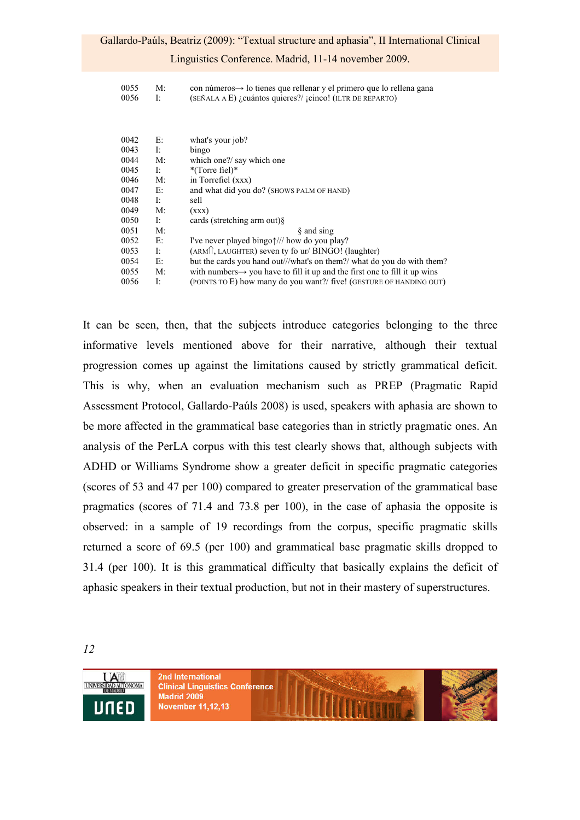#### Linguistics Conference. Madrid, 11-14 november 2009.

| 0055 | $M$ : | con números $\rightarrow$ lo tienes que rellenar y el primero que lo rellena gana |
|------|-------|-----------------------------------------------------------------------------------|
| 0056 |       | $(SEÑALA \nA E)$ <i>i</i> cuántos quieres?/ jcinco! (ILTR DE REPARTO)             |

| 0042 | Е: | what's your job?                                                                       |
|------|----|----------------------------------------------------------------------------------------|
| 0043 | Ŀ  | bingo                                                                                  |
| 0044 | M: | which one?/ say which one                                                              |
| 0045 | I: | $*(Torre file)$                                                                        |
| 0046 | M: | in Torrefiel (xxx)                                                                     |
| 0047 | E: | and what did you do? (SHOWS PALM OF HAND)                                              |
| 0048 | Ŀ  | sell                                                                                   |
| 0049 | M: | (xxx)                                                                                  |
| 0050 | Ŀ  | cards (stretching arm out) $\delta$                                                    |
| 0051 | M: | § and sing                                                                             |
| 0052 | Е: | I've never played bingo $\frac{1}{\sqrt{2}}$ how do you play?                          |
| 0053 | I: | (ARM), LAUGHTER) seven ty fo ur/ BINGO! (laughter)                                     |
| 0054 | E: | but the cards you hand out///what's on them?/ what do you do with them?                |
| 0055 | M: | with numbers $\rightarrow$ you have to fill it up and the first one to fill it up wins |
| 0056 | Ŀ  | (POINTS TO E) how many do you want?/ five! (GESTURE OF HANDING OUT)                    |
|      |    |                                                                                        |

It can be seen, then, that the subjects introduce categories belonging to the three informative levels mentioned above for their narrative, although their textual progression comes up against the limitations caused by strictly grammatical deficit. This is why, when an evaluation mechanism such as PREP (Pragmatic Rapid Assessment Protocol, Gallardo-Paúls 2008) is used, speakers with aphasia are shown to be more affected in the grammatical base categories than in strictly pragmatic ones. An analysis of the PerLA corpus with this test clearly shows that, although subjects with ADHD or Williams Syndrome show a greater deficit in specific pragmatic categories (scores of 53 and 47 per 100) compared to greater preservation of the grammatical base pragmatics (scores of 71.4 and 73.8 per 100), in the case of aphasia the opposite is observed: in a sample of 19 recordings from the corpus, specific pragmatic skills returned a score of 69.5 (per 100) and grammatical base pragmatic skills dropped to 31.4 (per 100). It is this grammatical difficulty that basically explains the deficit of aphasic speakers in their textual production, but not in their mastery of superstructures.

*12* 

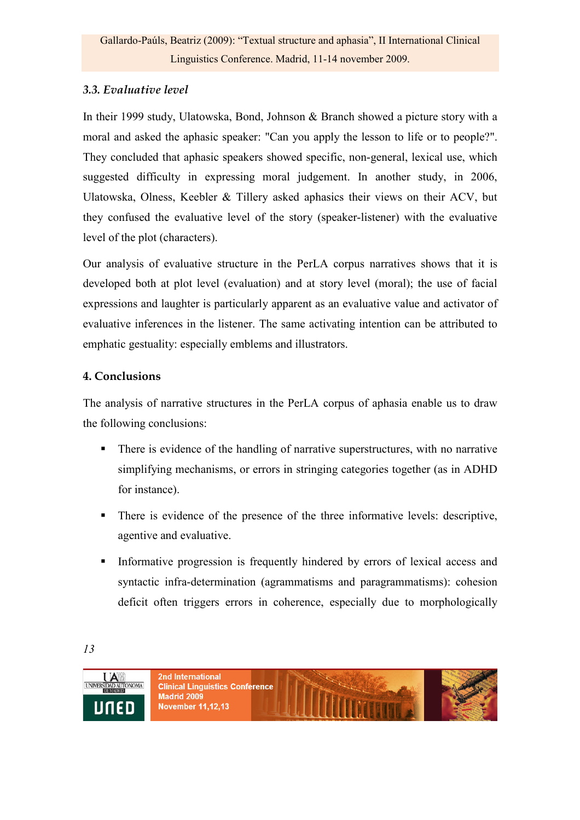## *3.3. Evaluative level*

In their 1999 study, Ulatowska, Bond, Johnson & Branch showed a picture story with a moral and asked the aphasic speaker: "Can you apply the lesson to life or to people?". They concluded that aphasic speakers showed specific, non-general, lexical use, which suggested difficulty in expressing moral judgement. In another study, in 2006, Ulatowska, Olness, Keebler & Tillery asked aphasics their views on their ACV, but they confused the evaluative level of the story (speaker-listener) with the evaluative level of the plot (characters).

Our analysis of evaluative structure in the PerLA corpus narratives shows that it is developed both at plot level (evaluation) and at story level (moral); the use of facial expressions and laughter is particularly apparent as an evaluative value and activator of evaluative inferences in the listener. The same activating intention can be attributed to emphatic gestuality: especially emblems and illustrators.

## **4. Conclusions**

The analysis of narrative structures in the PerLA corpus of aphasia enable us to draw the following conclusions:

- There is evidence of the handling of narrative superstructures, with no narrative simplifying mechanisms, or errors in stringing categories together (as in ADHD for instance).
- There is evidence of the presence of the three informative levels: descriptive, agentive and evaluative.
- Informative progression is frequently hindered by errors of lexical access and syntactic infra-determination (agrammatisms and paragrammatisms): cohesion deficit often triggers errors in coherence, especially due to morphologically

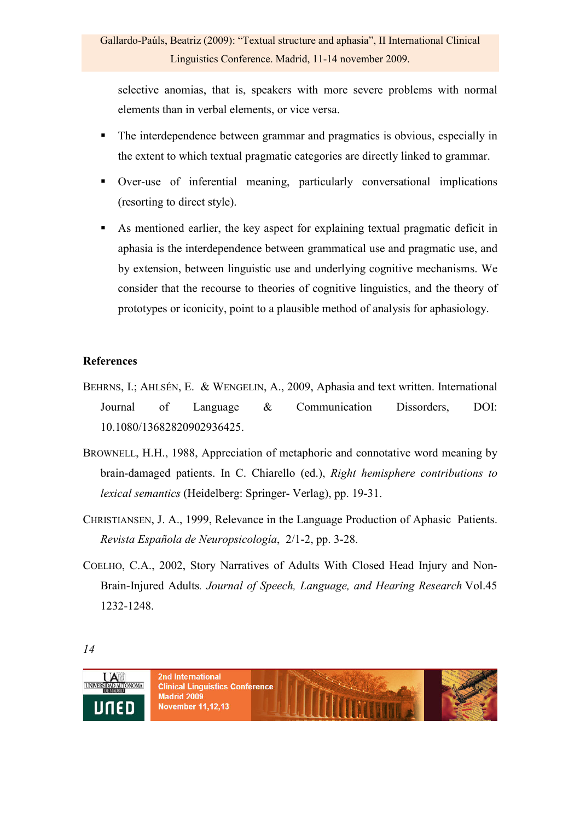selective anomias, that is, speakers with more severe problems with normal elements than in verbal elements, or vice versa.

- The interdependence between grammar and pragmatics is obvious, especially in the extent to which textual pragmatic categories are directly linked to grammar.
- Over-use of inferential meaning, particularly conversational implications (resorting to direct style).
- As mentioned earlier, the key aspect for explaining textual pragmatic deficit in aphasia is the interdependence between grammatical use and pragmatic use, and by extension, between linguistic use and underlying cognitive mechanisms. We consider that the recourse to theories of cognitive linguistics, and the theory of prototypes or iconicity, point to a plausible method of analysis for aphasiology.

## **References**

- BEHRNS, I.; AHLSÉN, E. & WENGELIN, A., 2009, Aphasia and text written. International Journal of Language & Communication Dissorders, DOI: 10.1080/13682820902936425.
- BROWNELL, H.H., 1988, Appreciation of metaphoric and connotative word meaning by brain-damaged patients. In C. Chiarello (ed.), *Right hemisphere contributions to lexical semantics* (Heidelberg: Springer- Verlag), pp. 19-31.
- CHRISTIANSEN, J. A., 1999, Relevance in the Language Production of Aphasic Patients. *Revista Española de Neuropsicología*, 2/1-2, pp. 3-28.
- COELHO, C.A., 2002, Story Narratives of Adults With Closed Head Injury and Non-Brain-Injured Adults*. Journal of Speech, Language, and Hearing Research* Vol.45 1232-1248.

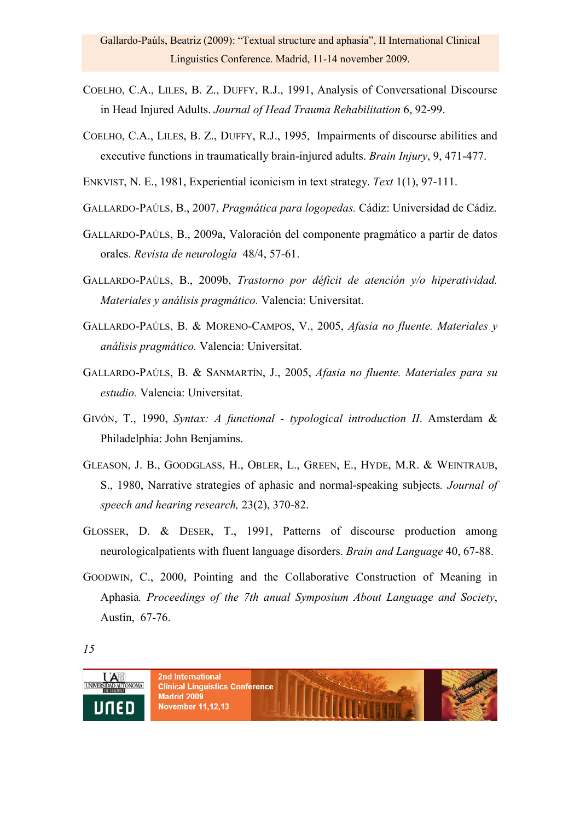- COELHO, C.A., LILES, B. Z., DUFFY, R.J., 1991, Analysis of Conversational Discourse in Head Injured Adults. *Journal of Head Trauma Rehabilitation* 6, 92-99.
- COELHO, C.A., LILES, B. Z., DUFFY, R.J., 1995, Impairments of discourse abilities and executive functions in traumatically brain-injured adults. *Brain Injury*, 9, 471-477.
- ENKVIST, N. E., 1981, Experiential iconicism in text strategy. *Text* 1(1), 97-111.
- GALLARDO-PAÚLS, B., 2007, *Pragmática para logopedas.* Cádiz: Universidad de Cádiz.
- GALLARDO-PAÚLS, B., 2009a, Valoración del componente pragmático a partir de datos orales. *Revista de neurología* 48/4, 57-61.
- GALLARDO-PAÚLS, B., 2009b, *Trastorno por déficit de atención y/o hiperatividad. Materiales y análisis pragmático.* Valencia: Universitat.
- GALLARDO-PAÚLS, B. & MORENO-CAMPOS, V., 2005, *Afasia no fluente. Materiales y análisis pragmático.* Valencia: Universitat.
- GALLARDO-PAÚLS, B. & SANMARTÍN, J., 2005, *Afasia no fluente. Materiales para su estudio.* Valencia: Universitat.
- GIVÓN, T., 1990, *Syntax: A functional typological introduction II*. Amsterdam & Philadelphia: John Benjamins.
- GLEASON, J. B., GOODGLASS, H., OBLER, L., GREEN, E., HYDE, M.R. & WEINTRAUB, S., 1980, Narrative strategies of aphasic and normal-speaking subjects*. Journal of speech and hearing research,* 23(2), 370-82.
- GLOSSER, D. & DESER, T., 1991, Patterns of discourse production among neurologicalpatients with fluent language disorders. *Brain and Language* 40, 67-88.
- GOODWIN, C., 2000, Pointing and the Collaborative Construction of Meaning in Aphasia*. Proceedings of the 7th anual Symposium About Language and Society*, Austin, 67-76.

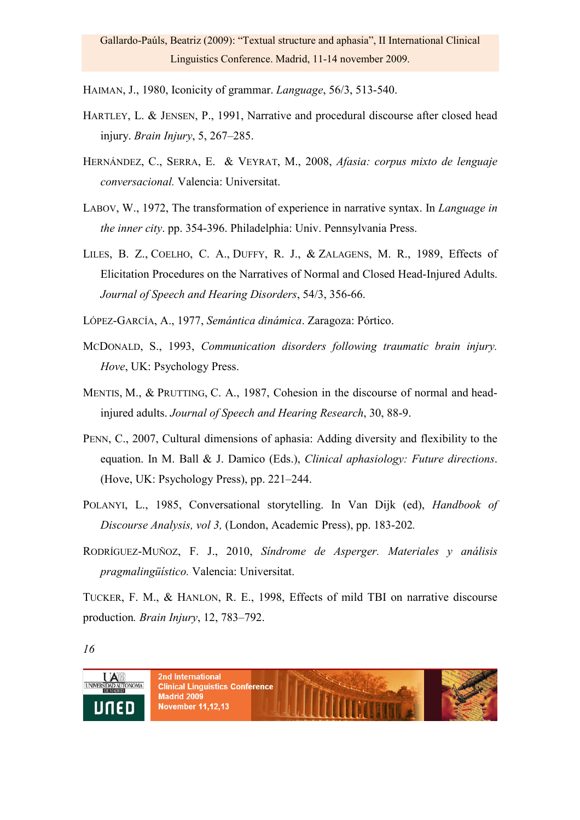HAIMAN, J., 1980, Iconicity of grammar. *Language*, 56/3, 513-540.

- HARTLEY, L. & JENSEN, P., 1991, Narrative and procedural discourse after closed head injury. *Brain Injury*, 5, 267–285.
- HERNÁNDEZ, C., SERRA, E. & VEYRAT, M., 2008, *Afasia: corpus mixto de lenguaje conversacional.* Valencia: Universitat.
- LABOV, W., 1972, The transformation of experience in narrative syntax. In *Language in the inner city*. pp. 354-396. Philadelphia: Univ. Pennsylvania Press.
- LILES, B. Z., COELHO, C. A., DUFFY, R. J., & ZALAGENS, M. R., 1989, Effects of Elicitation Procedures on the Narratives of Normal and Closed Head-Injured Adults. *Journal of Speech and Hearing Disorders*, 54/3, 356-66.

LÓPEZ-GARCÍA, A., 1977, *Semántica dinámica*. Zaragoza: Pórtico.

- MCDONALD, S., 1993, *Communication disorders following traumatic brain injury. Hove*, UK: Psychology Press.
- MENTIS, M., & PRUTTING, C. A., 1987, Cohesion in the discourse of normal and headinjured adults. *Journal of Speech and Hearing Research*, 30, 88-9.
- PENN, C., 2007, Cultural dimensions of aphasia: Adding diversity and flexibility to the equation. In M. Ball & J. Damico (Eds.), *Clinical aphasiology: Future directions*. (Hove, UK: Psychology Press), pp. 221–244.
- POLANYI, L., 1985, Conversational storytelling. In Van Dijk (ed), *Handbook of Discourse Analysis, vol 3,* (London, Academic Press), pp. 183-202*.*
- RODRÍGUEZ-MUÑOZ, F. J., 2010, *Síndrome de Asperger. Materiales y análisis pragmalingüístico.* Valencia: Universitat.

TUCKER, F. M., & HANLON, R. E., 1998, Effects of mild TBI on narrative discourse production*. Brain Injury*, 12, 783–792.